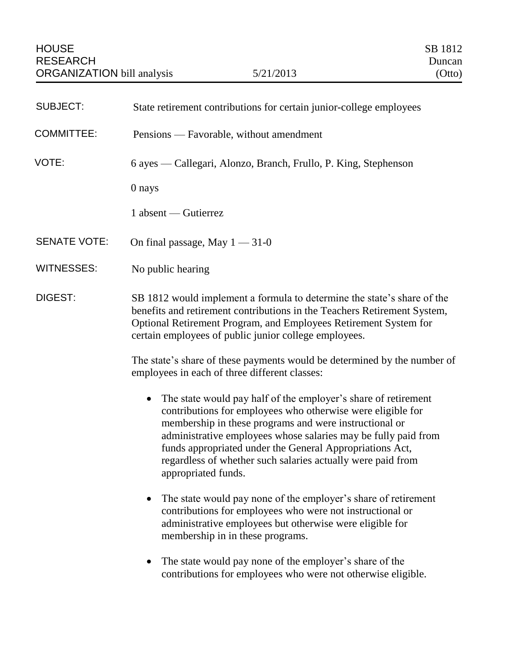| <b>SUBJECT:</b>     | State retirement contributions for certain junior-college employees                                                                                                                                                                                                                                                                                                                                                      |
|---------------------|--------------------------------------------------------------------------------------------------------------------------------------------------------------------------------------------------------------------------------------------------------------------------------------------------------------------------------------------------------------------------------------------------------------------------|
| <b>COMMITTEE:</b>   | Pensions — Favorable, without amendment                                                                                                                                                                                                                                                                                                                                                                                  |
| VOTE:               | 6 ayes — Callegari, Alonzo, Branch, Frullo, P. King, Stephenson                                                                                                                                                                                                                                                                                                                                                          |
|                     | 0 nays                                                                                                                                                                                                                                                                                                                                                                                                                   |
|                     | 1 absent — Gutierrez                                                                                                                                                                                                                                                                                                                                                                                                     |
| <b>SENATE VOTE:</b> | On final passage, May $1 - 31 - 0$                                                                                                                                                                                                                                                                                                                                                                                       |
| <b>WITNESSES:</b>   | No public hearing                                                                                                                                                                                                                                                                                                                                                                                                        |
| DIGEST:             | SB 1812 would implement a formula to determine the state's share of the<br>benefits and retirement contributions in the Teachers Retirement System,<br>Optional Retirement Program, and Employees Retirement System for<br>certain employees of public junior college employees.                                                                                                                                         |
|                     | The state's share of these payments would be determined by the number of<br>employees in each of three different classes:                                                                                                                                                                                                                                                                                                |
|                     | The state would pay half of the employer's share of retirement<br>$\bullet$<br>contributions for employees who otherwise were eligible for<br>membership in these programs and were instructional or<br>administrative employees whose salaries may be fully paid from<br>funds appropriated under the General Appropriations Act,<br>regardless of whether such salaries actually were paid from<br>appropriated funds. |
|                     | The state would pay none of the employer's share of retirement<br>contributions for employees who were not instructional or<br>administrative employees but otherwise were eligible for<br>membership in in these programs.                                                                                                                                                                                              |
|                     | The state would pay none of the employer's share of the<br>$\bullet$<br>contributions for employees who were not otherwise eligible.                                                                                                                                                                                                                                                                                     |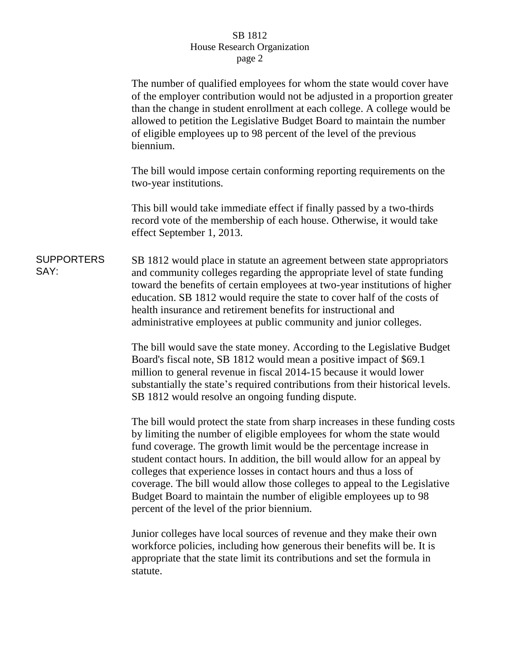## SB 1812 House Research Organization page 2

The number of qualified employees for whom the state would cover have of the employer contribution would not be adjusted in a proportion greater than the change in student enrollment at each college. A college would be allowed to petition the Legislative Budget Board to maintain the number of eligible employees up to 98 percent of the level of the previous biennium.

The bill would impose certain conforming reporting requirements on the two-year institutions.

This bill would take immediate effect if finally passed by a two-thirds record vote of the membership of each house. Otherwise, it would take effect September 1, 2013.

SUPPORTERS SAY: SB 1812 would place in statute an agreement between state appropriators and community colleges regarding the appropriate level of state funding toward the benefits of certain employees at two-year institutions of higher education. SB 1812 would require the state to cover half of the costs of health insurance and retirement benefits for instructional and administrative employees at public community and junior colleges.

> The bill would save the state money. According to the Legislative Budget Board's fiscal note, SB 1812 would mean a positive impact of \$69.1 million to general revenue in fiscal 2014-15 because it would lower substantially the state's required contributions from their historical levels. SB 1812 would resolve an ongoing funding dispute.

The bill would protect the state from sharp increases in these funding costs by limiting the number of eligible employees for whom the state would fund coverage. The growth limit would be the percentage increase in student contact hours. In addition, the bill would allow for an appeal by colleges that experience losses in contact hours and thus a loss of coverage. The bill would allow those colleges to appeal to the Legislative Budget Board to maintain the number of eligible employees up to 98 percent of the level of the prior biennium.

Junior colleges have local sources of revenue and they make their own workforce policies, including how generous their benefits will be. It is appropriate that the state limit its contributions and set the formula in statute.